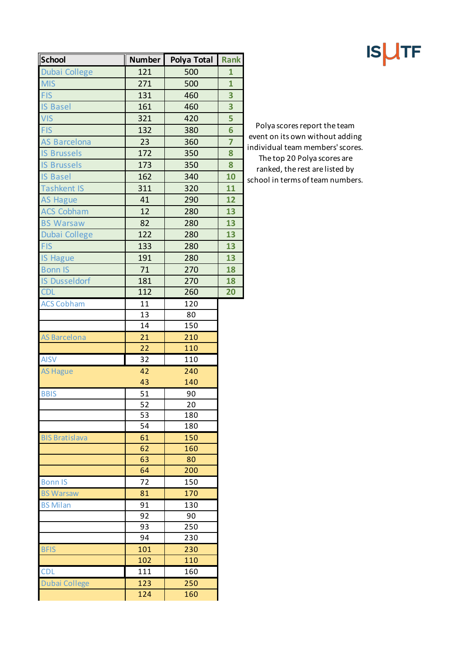| School                | <b>Number</b> | Polya Total | <b>Rank</b>     |
|-----------------------|---------------|-------------|-----------------|
| <b>Dubai College</b>  | 121           | 500         | 1               |
| <b>MIS</b>            | 271           | 500         | $\overline{1}$  |
| <b>FIS</b>            | 131           | 460         | 3               |
| <b>IS Basel</b>       | 161           | 460         | 3               |
| <b>VIS</b>            | 321           | 420         | 5               |
| <b>FIS</b>            | 132           | 380         | 6               |
| <b>AS Barcelona</b>   | 23            | 360         | $\overline{7}$  |
| <b>IS Brussels</b>    | 172           | 350         | 8               |
| <b>IS Brussels</b>    | 173           | 350         | 8               |
| <b>IS Basel</b>       | 162           | 340         | 10              |
| <b>Tashkent IS</b>    | 311           | 320         | 11              |
| <b>AS Hague</b>       | 41            | 290         | 12              |
| <b>ACS Cobham</b>     | 12            | 280         | 13              |
| <b>BS Warsaw</b>      | 82            | 280         | 13              |
| <b>Dubai College</b>  | 122           | 280         | 13              |
| <b>FIS</b>            | 133           | 280         | 13              |
| <b>IS Hague</b>       | 191           | 280         | 13              |
| <b>Bonn IS</b>        | 71            | 270         | 18              |
| <b>IS Dusseldorf</b>  | 181           | 270         | 18              |
| <b>CDL</b>            | 112           | 260         | $\overline{20}$ |
| <b>ACS Cobham</b>     | 11            | 120         |                 |
|                       | 13            | 80          |                 |
|                       | 14            | 150         |                 |
| <b>AS Barcelona</b>   | 21            | 210         |                 |
|                       | 22            | 110         |                 |
| <b>AISV</b>           | 32            | 110         |                 |
| <b>AS Hague</b>       | 42            | 240         |                 |
|                       | 43            | 140         |                 |
| <b>BBIS</b>           | 51            | 90          |                 |
|                       | 52            | 20          |                 |
|                       | 53            | 180         |                 |
|                       | 54            | 180         |                 |
| <b>BIS Bratislava</b> | 61            | 150         |                 |
|                       | 62<br>63      | 160<br>80   |                 |
|                       | 64            | 200         |                 |
| <b>Bonn IS</b>        | 72            | 150         |                 |
| <b>BS Warsaw</b>      | 81            | 170         |                 |
| <b>BS Milan</b>       | 91            | 130         |                 |
|                       | 92            | 90          |                 |
|                       | 93            | 250         |                 |
|                       | 94            | 230         |                 |
| <b>BFIS</b>           | 101           | 230         |                 |
|                       | 102           | 110         |                 |
| <b>CDL</b>            | 111           | 160         |                 |
| <b>Dubai College</b>  | 123           | 250         |                 |
|                       | 124           | 160         |                 |
|                       |               |             |                 |

Polya scores report the team event on its own without adding individual team members' scores. The top 20 Polya scores are ranked, the rest are listed by school in terms of team numbers.

## **ISUTF**